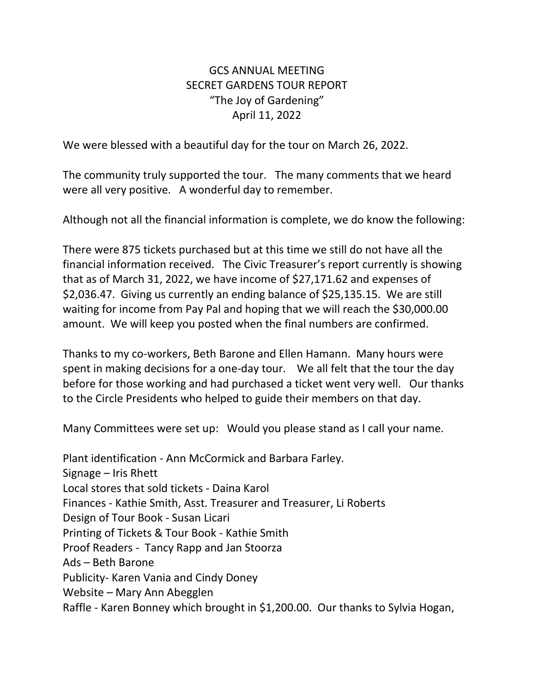## GCS ANNUAL MEETING SECRET GARDENS TOUR REPORT "The Joy of Gardening" April 11, 2022

We were blessed with a beautiful day for the tour on March 26, 2022.

The community truly supported the tour. The many comments that we heard were all very positive. A wonderful day to remember.

Although not all the financial information is complete, we do know the following:

There were 875 tickets purchased but at this time we still do not have all the financial information received. The Civic Treasurer's report currently is showing that as of March 31, 2022, we have income of \$27,171.62 and expenses of \$2,036.47. Giving us currently an ending balance of \$25,135.15. We are still waiting for income from Pay Pal and hoping that we will reach the \$30,000.00 amount. We will keep you posted when the final numbers are confirmed.

Thanks to my co-workers, Beth Barone and Ellen Hamann. Many hours were spent in making decisions for a one-day tour. We all felt that the tour the day before for those working and had purchased a ticket went very well. Our thanks to the Circle Presidents who helped to guide their members on that day.

Many Committees were set up: Would you please stand as I call your name.

Plant identification - Ann McCormick and Barbara Farley. Signage – Iris Rhett Local stores that sold tickets - Daina Karol Finances - Kathie Smith, Asst. Treasurer and Treasurer, Li Roberts Design of Tour Book - Susan Licari Printing of Tickets & Tour Book - Kathie Smith Proof Readers - Tancy Rapp and Jan Stoorza Ads – Beth Barone Publicity- Karen Vania and Cindy Doney Website – Mary Ann Abegglen Raffle - Karen Bonney which brought in \$1,200.00. Our thanks to Sylvia Hogan,